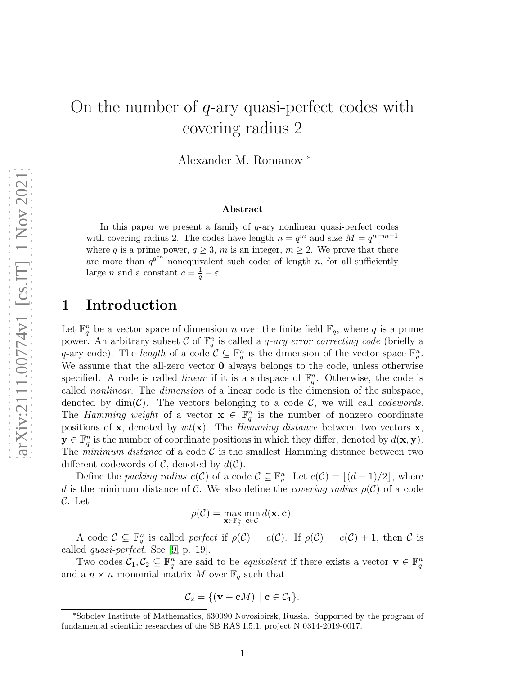# On the number of  $q$ -ary quasi-perfect codes with covering radius 2

Alexander M. Romanov <sup>∗</sup>

#### Abstract

In this paper we present a family of  $q$ -ary nonlinear quasi-perfect codes with covering radius 2. The codes have length  $n = q^m$  and size  $M = q^{n-m-1}$ where q is a prime power,  $q \geq 3$ , m is an integer,  $m \geq 2$ . We prove that there are more than  $q^{q^{cn}}$  nonequivalent such codes of length n, for all sufficiently large *n* and a constant  $c = \frac{1}{q} - \varepsilon$ .

## 1 Introduction

Let  $\mathbb{F}_q^n$  be a vector space of dimension n over the finite field  $\mathbb{F}_q$ , where q is a prime power. An arbitrary subset C of  $\mathbb{F}_q^n$  is called a *q-ary error correcting code* (briefly a q-ary code). The length of a code  $\mathcal{C} \subseteq \mathbb{F}_q^n$  is the dimension of the vector space  $\mathbb{F}_q^n$ . We assume that the all-zero vector **0** always belongs to the code, unless otherwise specified. A code is called *linear* if it is a subspace of  $\mathbb{F}_q^n$ . Otherwise, the code is called nonlinear. The dimension of a linear code is the dimension of the subspace, denoted by  $\dim(\mathcal{C})$ . The vectors belonging to a code  $\mathcal{C}$ , we will call *codewords*. The *Hamming weight* of a vector  $\mathbf{x} \in \mathbb{F}_q^n$  is the number of nonzero coordinate positions of **x**, denoted by  $wt(\mathbf{x})$ . The *Hamming distance* between two vectors **x**,  $\mathbf{y} \in \mathbb{F}_q^n$  is the number of coordinate positions in which they differ, denoted by  $d(\mathbf{x}, \mathbf{y})$ . The *minimum distance* of a code  $\mathcal{C}$  is the smallest Hamming distance between two different codewords of C, denoted by  $d(C)$ .

Define the packing radius  $e(C)$  of a code  $C \subseteq \mathbb{F}_q^n$ . Let  $e(C) = \lfloor (d-1)/2 \rfloor$ , where d is the minimum distance of C. We also define the *covering radius*  $\rho(\mathcal{C})$  of a code C. Let

$$
\rho(\mathcal{C}) = \max_{\mathbf{x} \in \mathbb{F}_q^n} \min_{\mathbf{c} \in \mathcal{C}} d(\mathbf{x}, \mathbf{c}).
$$

A code  $\mathcal{C} \subseteq \mathbb{F}_q^n$  is called perfect if  $\rho(\mathcal{C}) = e(\mathcal{C})$ . If  $\rho(\mathcal{C}) = e(\mathcal{C}) + 1$ , then  $\mathcal{C}$  is called quasi-perfect. See [\[9,](#page-6-0) p. 19].

Two codes  $\mathcal{C}_1, \mathcal{C}_2 \subseteq \mathbb{F}_q^n$  are said to be *equivalent* if there exists a vector  $\mathbf{v} \in \mathbb{F}_q^n$ and a  $n \times n$  monomial matrix M over  $\mathbb{F}_q$  such that

$$
\mathcal{C}_2 = \{ (\mathbf{v} + \mathbf{c}M) \mid \mathbf{c} \in \mathcal{C}_1 \}.
$$

<sup>∗</sup>Sobolev Institute of Mathematics, 630090 Novosibirsk, Russia. Supported by the program of fundamental scientific researches of the SB RAS I.5.1, project N 0314-2019-0017.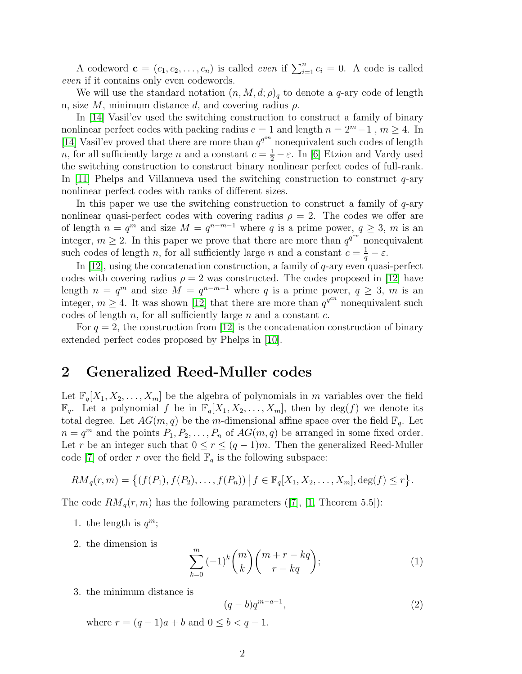A codeword  $\mathbf{c} = (c_1, c_2, \dots, c_n)$  is called *even* if  $\sum_{i=1}^n c_i = 0$ . A code is called even if it contains only even codewords.

We will use the standard notation  $(n, M, d; \rho)_q$  to denote a q-ary code of length n, size M, minimum distance d, and covering radius  $\rho$ .

In [\[14\]](#page-6-1) Vasil'ev used the switching construction to construct a family of binary nonlinear perfect codes with packing radius  $e = 1$  and length  $n = 2<sup>m</sup> - 1$ ,  $m \ge 4$ . In [\[14\]](#page-6-1) Vasil'ev proved that there are more than  $q^{q^{cn}}$  nonequivalent such codes of length *n*, for all sufficiently large *n* and a constant  $c = \frac{1}{2} - \varepsilon$ . In [\[6\]](#page-6-2) Etzion and Vardy used the switching construction to construct binary nonlinear perfect codes of full-rank. In [\[11\]](#page-6-3) Phelps and Villanueva used the switching construction to construct  $q$ -ary nonlinear perfect codes with ranks of different sizes.

In this paper we use the switching construction to construct a family of  $q$ -ary nonlinear quasi-perfect codes with covering radius  $\rho = 2$ . The codes we offer are of length  $n = q^m$  and size  $M = q^{n-m-1}$  where q is a prime power,  $q \geq 3$ , m is an integer,  $m \geq 2$ . In this paper we prove that there are more than  $q^{q^{cn}}$  nonequivalent such codes of length n, for all sufficiently large n and a constant  $c = \frac{1}{q} - \varepsilon$ .

In  $[12]$ , using the concatenation construction, a family of  $q$ -ary even quasi-perfect codes with covering radius  $\rho = 2$  was constructed. The codes proposed in [\[12\]](#page-6-4) have length  $n = q^m$  and size  $M = q^{n-m-1}$  where q is a prime power,  $q \geq 3$ , m is an integer,  $m \geq 4$ . It was shown [\[12\]](#page-6-4) that there are more than  $q^{q^{cn}}$  nonequivalent such codes of length  $n$ , for all sufficiently large  $n$  and a constant  $c$ .

For  $q = 2$ , the construction from [\[12\]](#page-6-4) is the concatenation construction of binary extended perfect codes proposed by Phelps in [\[10\]](#page-6-5).

### 2 Generalized Reed-Muller codes

Let  $\mathbb{F}_q[X_1, X_2, \ldots, X_m]$  be the algebra of polynomials in m variables over the field  $\mathbb{F}_q$ . Let a polynomial f be in  $\mathbb{F}_q[X_1, X_2, \ldots, X_m]$ , then by  $\deg(f)$  we denote its total degree. Let  $AG(m, q)$  be the m-dimensional affine space over the field  $\mathbb{F}_q$ . Let  $n = q^m$  and the points  $P_1, P_2, \ldots, P_n$  of  $AG(m, q)$  be arranged in some fixed order. Let r be an integer such that  $0 \le r \le (q-1)m$ . Then the generalized Reed-Muller code [\[7\]](#page-6-6) of order r over the field  $\mathbb{F}_q$  is the following subspace:

$$
RM_q(r,m) = \{(f(P_1), f(P_2), \ldots, f(P_n)) \mid f \in \mathbb{F}_q[X_1, X_2, \ldots, X_m], \deg(f) \leq r\}.
$$

The code  $RM_q(r,m)$  has the following parameters ([\[7\]](#page-6-6), [\[1,](#page-5-0) Theorem 5.5]):

- 1. the length is  $q^m$ ;
- 2. the dimension is

<span id="page-1-0"></span>
$$
\sum_{k=0}^{m} (-1)^{k} \binom{m}{k} \binom{m+r-kq}{r-kq};\tag{1}
$$

3. the minimum distance is

<span id="page-1-1"></span>
$$
(q-b)q^{m-a-1},\t\t(2)
$$

where  $r = (q - 1)a + b$  and  $0 \le b < q - 1$ .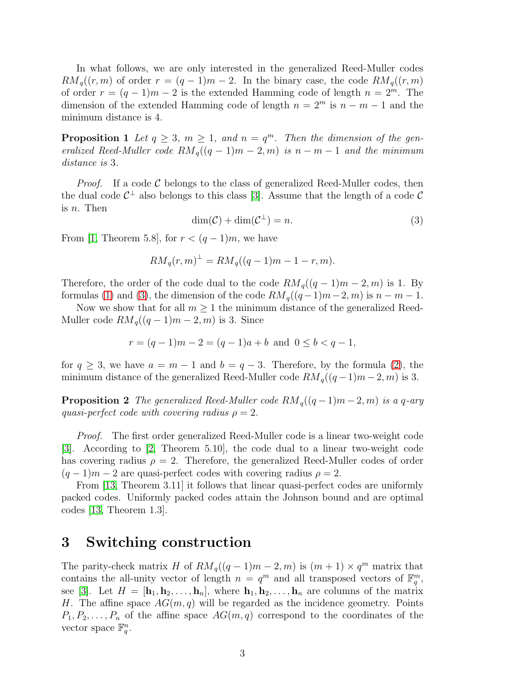In what follows, we are only interested in the generalized Reed-Muller codes  $RM_q((r,m)$  of order  $r = (q-1)m-2$ . In the binary case, the code  $RM_q((r,m)$ of order  $r = (q - 1)m - 2$  is the extended Hamming code of length  $n = 2^m$ . The dimension of the extended Hamming code of length  $n = 2^m$  is  $n - m - 1$  and the minimum distance is 4.

<span id="page-2-1"></span>**Proposition 1** Let  $q \geq 3$ ,  $m \geq 1$ , and  $n = q^m$ . Then the dimension of the generalized Reed-Muller code  $RM_q((q-1)m-2,m)$  is  $n-m-1$  and the minimum distance is 3.

<span id="page-2-0"></span>*Proof.* If a code  $\mathcal C$  belongs to the class of generalized Reed-Muller codes, then the dual code  $C^{\perp}$  also belongs to this class [\[3\]](#page-5-1). Assume that the length of a code C is n. Then

$$
\dim(\mathcal{C}) + \dim(\mathcal{C}^{\perp}) = n. \tag{3}
$$

From [\[1,](#page-5-0) Theorem 5.8], for  $r < (q-1)m$ , we have

$$
RM_q(r, m)^{\perp} = RM_q((q-1)m - 1 - r, m).
$$

Therefore, the order of the code dual to the code  $RM_q((q-1)m-2,m)$  is 1. By formulas [\(1\)](#page-1-0) and [\(3\)](#page-2-0), the dimension of the code  $RM_q((q-1)m-2, m)$  is  $n-m-1$ .

Now we show that for all  $m \geq 1$  the minimum distance of the generalized Reed-Muller code  $RM_q((q-1)m-2,m)$  is 3. Since

$$
r = (q - 1)m - 2 = (q - 1)a + b
$$
 and  $0 \le b < q - 1$ ,

<span id="page-2-2"></span>for  $q \geq 3$ , we have  $a = m - 1$  and  $b = q - 3$ . Therefore, by the formula [\(2\)](#page-1-1), the minimum distance of the generalized Reed-Muller code  $RM_q((q-1)m-2, m)$  is 3.

**Proposition 2** The generalized Reed-Muller code  $RM_q((q-1)m-2,m)$  is a q-ary quasi-perfect code with covering radius  $\rho = 2$ .

Proof. The first order generalized Reed-Muller code is a linear two-weight code [\[3\]](#page-5-1). According to [\[2,](#page-5-2) Theorem 5.10], the code dual to a linear two-weight code has covering radius  $\rho = 2$ . Therefore, the generalized Reed-Muller codes of order  $(q-1)m-2$  are quasi-perfect codes with covering radius  $\rho = 2$ .

From [\[13,](#page-6-7) Theorem 3.11] it follows that linear quasi-perfect codes are uniformly packed codes. Uniformly packed codes attain the Johnson bound and are optimal codes [\[13,](#page-6-7) Theorem 1.3].

### 3 Switching construction

The parity-check matrix H of  $RM_q((q-1)m-2, m)$  is  $(m+1) \times q^m$  matrix that contains the all-unity vector of length  $n = q^m$  and all transposed vectors of  $\mathbb{F}_q^m$ , see [\[3\]](#page-5-1). Let  $H = [\mathbf{h}_1, \mathbf{h}_2, \dots, \mathbf{h}_n]$ , where  $\mathbf{h}_1, \mathbf{h}_2, \dots, \mathbf{h}_n$  are columns of the matrix H. The affine space  $AG(m, q)$  will be regarded as the incidence geometry. Points  $P_1, P_2, \ldots, P_n$  of the affine space  $AG(m, q)$  correspond to the coordinates of the vector space  $\mathbb{F}_q^n$ .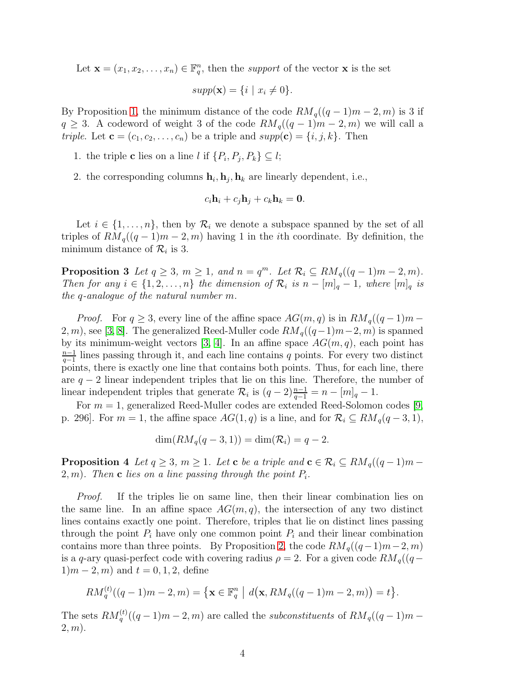Let  $\mathbf{x} = (x_1, x_2, \dots, x_n) \in \mathbb{F}_q^n$ , then the support of the vector  $\mathbf{x}$  is the set

$$
supp(\mathbf{x}) = \{i \mid x_i \neq 0\}.
$$

By Proposition [1,](#page-2-1) the minimum distance of the code  $RM_q((q-1)m-2,m)$  is 3 if  $q \geq 3$ . A codeword of weight 3 of the code  $RM_q((q-1)m-2,m)$  we will call a triple. Let  $\mathbf{c} = (c_1, c_2, \dots, c_n)$  be a triple and  $supp(\mathbf{c}) = \{i, j, k\}$ . Then

- 1. the triple **c** lies on a line *l* if  $\{P_i, P_j, P_k\} \subseteq l$ ;
- 2. the corresponding columns  $\mathbf{h}_i, \mathbf{h}_j, \mathbf{h}_k$  are linearly dependent, i.e.,

$$
c_i\mathbf{h}_i + c_j\mathbf{h}_j + c_k\mathbf{h}_k = \mathbf{0}.
$$

Let  $i \in \{1, \ldots, n\}$ , then by  $\mathcal{R}_i$  we denote a subspace spanned by the set of all triples of  $RM_q((q-1)m-2,m)$  having 1 in the *i*th coordinate. By definition, the minimum distance of  $\mathcal{R}_i$  is 3.

**Proposition 3** Let  $q \ge 3$ ,  $m \ge 1$ , and  $n = q^m$ . Let  $\mathcal{R}_i \subseteq RM_q((q-1)m-2,m)$ . Then for any  $i \in \{1, 2, ..., n\}$  the dimension of  $\mathcal{R}_i$  is  $n - [m]_q - 1$ , where  $[m]_q$  is the q-analogue of the natural number m.

*Proof.* For  $q \geq 3$ , every line of the affine space  $AG(m, q)$  is in  $RM_q((q-1)m-$ 2, m), see [\[3,](#page-5-1) [8\]](#page-6-8). The generalized Reed-Muller code  $RM_q((q-1)m-2, m)$  is spanned by its minimum-weight vectors [\[3,](#page-5-1) [4\]](#page-5-3). In an affine space  $AG(m, q)$ , each point has  $n-1$  $\frac{n-1}{q-1}$  lines passing through it, and each line contains q points. For every two distinct points, there is exactly one line that contains both points. Thus, for each line, there are  $q - 2$  linear independent triples that lie on this line. Therefore, the number of linear independent triples that generate  $\mathcal{R}_i$  is  $(q-2)\frac{n-1}{q-1} = n - [m]_q - 1$ .

For  $m = 1$ , generalized Reed-Muller codes are extended Reed-Solomon codes [\[9,](#page-6-0) p. 296]. For  $m = 1$ , the affine space  $AG(1, q)$  is a line, and for  $\mathcal{R}_i \subseteq RM_q(q-3, 1)$ ,

$$
\dim(RM_q(q-3,1)) = \dim(\mathcal{R}_i) = q-2.
$$

<span id="page-3-0"></span>**Proposition 4** Let  $q \geq 3$ ,  $m \geq 1$ . Let **c** be a triple and  $\mathbf{c} \in \mathcal{R}_i \subseteq RM_q((q-1)m-1)$  $(2, m)$ . Then **c** lies on a line passing through the point  $P_i$ .

Proof. If the triples lie on same line, then their linear combination lies on the same line. In an affine space  $AG(m, q)$ , the intersection of any two distinct lines contains exactly one point. Therefore, triples that lie on distinct lines passing through the point  $P_i$  have only one common point  $P_i$  and their linear combination contains more than three points. By Proposition [2,](#page-2-2) the code  $RM_q((q-1)m-2, m)$ is a q-ary quasi-perfect code with covering radius  $\rho = 2$ . For a given code  $RM_q((q 1/m - 2, m$  and  $t = 0, 1, 2$ , define

$$
RM_q^{(t)}((q-1)m-2,m) = \{ \mathbf{x} \in \mathbb{F}_q^n \mid d(\mathbf{x}, RM_q((q-1)m-2,m)) = t \}.
$$

<span id="page-3-1"></span>The sets  $RM_q^{(t)}((q-1)m-2, m)$  are called the *subconstituents* of  $RM_q((q-1)m-2, m)$  $2, m$ ).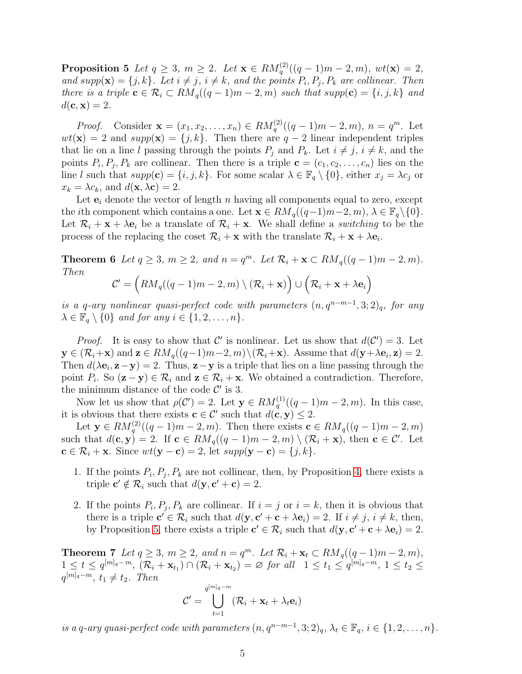**Proposition 5** Let  $q \ge 3$ ,  $m \ge 2$ . Let  $\mathbf{x} \in RM_q^{(2)}((q-1)m-2,m)$ ,  $wt(\mathbf{x}) = 2$ , and  $supp(\mathbf{x}) = \{j,k\}$ . Let  $i \neq j$ ,  $i \neq k$ , and the points  $P_i, P_j, P_k$  are collinear. Then there is a triple  $\mathbf{c} \in \mathcal{R}_i \subset RM_q((q-1)m-2,m)$  such that supp $(\mathbf{c}) = \{i, j, k\}$  and  $d(\mathbf{c}, \mathbf{x}) = 2.$ 

*Proof.* Consider  $\mathbf{x} = (x_1, x_2, \dots, x_n) \in RM_q^{(2)}((q-1)m-2, m), n = q^m$ . Let  $wt(\mathbf{x}) = 2$  and  $supp(\mathbf{x}) = \{j, k\}$ . Then there are  $q - 2$  linear independent triples that lie on a line l passing through the points  $P_i$  and  $P_k$ . Let  $i \neq j$ ,  $i \neq k$ , and the points  $P_i, P_j, P_k$  are collinear. Then there is a triple  $\mathbf{c} = (c_1, c_2, \dots, c_n)$  lies on the line l such that  $supp(c) = \{i, j, k\}$ . For some scalar  $\lambda \in \mathbb{F}_q \setminus \{0\}$ , either  $x_j = \lambda c_j$  or  $x_k = \lambda c_k$ , and  $d(\mathbf{x}, \lambda \mathbf{c}) = 2$ .

Let  $e_i$  denote the vector of length n having all components equal to zero, except the *i*th component which contains a one. Let  $\mathbf{x} \in RM_q((q-1)m-2, m), \lambda \in \mathbb{F}_q \setminus \{0\}.$ Let  $\mathcal{R}_i + \mathbf{x} + \lambda \mathbf{e}_i$  be a translate of  $\mathcal{R}_i + \mathbf{x}$ . We shall define a *switching* to be the process of the replacing the coset  $\mathcal{R}_i + \mathbf{x}$  with the translate  $\mathcal{R}_i + \mathbf{x} + \lambda \mathbf{e}_i$ .

<span id="page-4-0"></span>**Theorem 6** Let  $q \geq 3$ ,  $m \geq 2$ , and  $n = q^m$ . Let  $\mathcal{R}_i + \mathbf{x} \subset RM_q((q-1)m-2,m)$ . Then

$$
\mathcal{C}' = \left(RM_q((q-1)m-2, m) \setminus (\mathcal{R}_i + \mathbf{x})\right) \cup \left(\mathcal{R}_i + \mathbf{x} + \lambda \mathbf{e}_i\right)
$$

is a q-ary nonlinear quasi-perfect code with parameters  $(n, q^{n-m-1}, 3; 2)_q$ , for any  $\lambda \in \mathbb{F}_q \setminus \{0\}$  and for any  $i \in \{1, 2, \ldots, n\}.$ 

*Proof.* It is easy to show that C' is nonlinear. Let us show that  $d(C') = 3$ . Let  $y \in (\mathcal{R}_i + \mathbf{x})$  and  $\mathbf{z} \in RM_q((q-1)m-2, m) \setminus (\mathcal{R}_i + \mathbf{x})$ . Assume that  $d(\mathbf{y} + \lambda \mathbf{e}_i, \mathbf{z}) = 2$ . Then  $d(\lambda \mathbf{e}_i, \mathbf{z} - \mathbf{y}) = 2$ . Thus,  $\mathbf{z} - \mathbf{y}$  is a triple that lies on a line passing through the point  $P_i$ . So  $(\mathbf{z}-\mathbf{y}) \in \mathcal{R}_i$  and  $\mathbf{z} \in \mathcal{R}_i + \mathbf{x}$ . We obtained a contradiction. Therefore, the minimum distance of the code  $\mathcal{C}'$  is 3.

Now let us show that  $\rho(\mathcal{C}') = 2$ . Let  $\mathbf{y} \in RM_q^{(1)}((q-1)m-2,m)$ . In this case, it is obvious that there exists  $\mathbf{c} \in \mathcal{C}'$  such that  $d(\mathbf{c}, \mathbf{y}) \leq 2$ .

Let  $\mathbf{y} \in RM_q^{(2)}((q-1)m-2,m)$ . Then there exists  $\mathbf{c} \in RM_q((q-1)m-2,m)$ such that  $d(c, y) = 2$ . If  $c \in RM_q((q - 1)m - 2, m) \setminus (\mathcal{R}_i + x)$ , then  $c \in \mathcal{C}'$ . Let  $\mathbf{c} \in \mathcal{R}_i + \mathbf{x}$ . Since  $wt(\mathbf{y}-\mathbf{c})=2$ , let  $supp(\mathbf{y}-\mathbf{c})=\{j,k\}$ .

- 1. If the points  $P_i, P_j, P_k$  are not collinear, then, by Proposition [4,](#page-3-0) there exists a triple  $\mathbf{c}' \notin \mathcal{R}_i$  such that  $d(\mathbf{y}, \mathbf{c}' + \mathbf{c}) = 2$ .
- 2. If the points  $P_i, P_j, P_k$  are collinear. If  $i = j$  or  $i = k$ , then it is obvious that there is a triple  $\mathbf{c}' \in \mathcal{R}_i$  such that  $d(\mathbf{y}, \mathbf{c}' + \mathbf{c} + \lambda \mathbf{e}_i) = 2$ . If  $i \neq j$ ,  $i \neq k$ , then, by Proposition [5,](#page-3-1) there exists a triple  $\mathbf{c}' \in \mathcal{R}_i$  such that  $d(\mathbf{y}, \mathbf{c}' + \mathbf{c} + \lambda \mathbf{e}_i) = 2$ .

<span id="page-4-1"></span>**Theorem 7** Let  $q \ge 3$ ,  $m \ge 2$ , and  $n = q^m$ . Let  $\mathcal{R}_i + \mathbf{x}_t \subset RM_q((q-1)m-2,m)$ ,  $1 \leq t \leq q^{[m]_q - m}, \ (\mathcal{R}_i + \mathbf{x}_{t_1}) \cap (\mathcal{R}_i + \mathbf{x}_{t_2}) = \varnothing \ for \ all \ \ 1 \leq t_1 \leq q^{[m]_q - m}, \ 1 \leq t_2 \leq$  $q^{[m]_q-m}, t_1 \neq t_2$ . Then

$$
\mathcal{C}' = \bigcup_{t=1}^{q^{[m]_q - m}} (\mathcal{R}_i + \mathbf{x}_t + \lambda_t \mathbf{e}_i)
$$

is a q-ary quasi-perfect code with parameters  $(n, q^{n-m-1}, 3; 2)_q$ ,  $\lambda_t \in \mathbb{F}_q$ ,  $i \in \{1, 2, ..., n\}$ .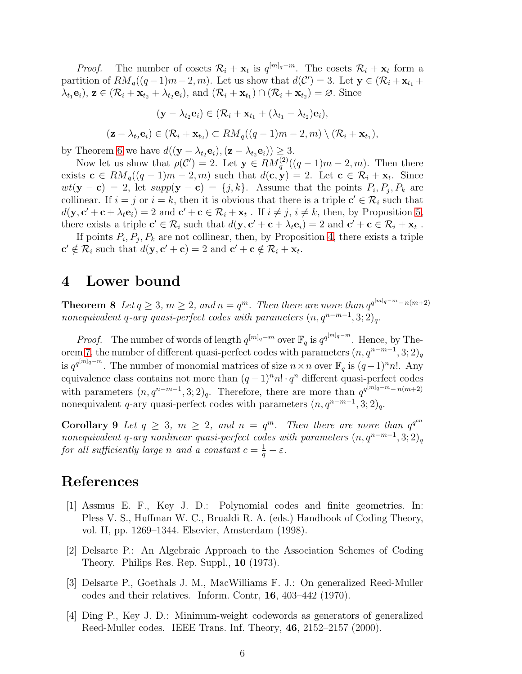*Proof.* The number of cosets  $\mathcal{R}_i + \mathbf{x}_t$  is  $q^{[m]_q - m}$ . The cosets  $\mathcal{R}_i + \mathbf{x}_t$  form a partition of  $RM_q((q-1)m-2, m)$ . Let us show that  $d(\mathcal{C}')=3$ . Let  $\mathbf{y} \in (\mathcal{R}_i+\mathbf{x}_{t_1}+\mathcal{C}_i)$  $\lambda_{t_1} \mathbf{e}_i$ ,  $\mathbf{z} \in (\mathcal{R}_i + \mathbf{x}_{t_2} + \lambda_{t_2} \mathbf{e}_i)$ , and  $(\mathcal{R}_i + \mathbf{x}_{t_1}) \cap (\mathcal{R}_i + \mathbf{x}_{t_2}) = \emptyset$ . Since

$$
(\mathbf{y} - \lambda_{t_2} \mathbf{e}_i) \in (\mathcal{R}_i + \mathbf{x}_{t_1} + (\lambda_{t_1} - \lambda_{t_2})\mathbf{e}_i),
$$

$$
(\mathbf{z} - \lambda_{t_2} \mathbf{e}_i) \in (\mathcal{R}_i + \mathbf{x}_{t_2}) \subset RM_q((q-1)m-2, m) \setminus (\mathcal{R}_i + \mathbf{x}_{t_1}),
$$

by Theorem [6](#page-4-0) we have  $d((\mathbf{y} - \lambda_{t_2} \mathbf{e}_i), (\mathbf{z} - \lambda_{t_2} \mathbf{e}_i)) \geq 3$ .

Now let us show that  $\rho(\mathcal{C}') = 2$ . Let  $\mathbf{y} \in \mathring{RM}^{(2)}_q((q-1)m-2,m)$ . Then there exists  $\mathbf{c} \in RM_q((q-1)m-2,m)$  such that  $d(\mathbf{c}, \mathbf{y}) = 2$ . Let  $\mathbf{c} \in \mathcal{R}_i + \mathbf{x}_t$ . Since  $wt(\mathbf{y}-\mathbf{c}) = 2$ , let  $supp(\mathbf{y}-\mathbf{c}) = \{j,k\}$ . Assume that the points  $P_i, P_j, P_k$  are collinear. If  $i = j$  or  $i = k$ , then it is obvious that there is a triple  $c' \in \mathcal{R}_i$  such that  $d(\mathbf{y}, \mathbf{c'} + \mathbf{c} + \lambda_t \mathbf{e}_i) = 2$  and  $\mathbf{c'} + \mathbf{c} \in \mathcal{R}_i + \mathbf{x}_t$ . If  $i \neq j$ ,  $i \neq k$ , then, by Proposition [5,](#page-3-1) there exists a triple  $\mathbf{c}' \in \mathcal{R}_i$  such that  $d(\mathbf{y}, \mathbf{c}' + \mathbf{c} + \lambda_i \mathbf{e}_i) = 2$  and  $\mathbf{c}' + \mathbf{c} \in \mathcal{R}_i + \mathbf{x}_t$ .

If points  $P_i, P_j, P_k$  are not collinear, then, by Proposition [4,](#page-3-0) there exists a triple  $\mathbf{c}' \notin \mathcal{R}_i$  such that  $d(\mathbf{y}, \mathbf{c}' + \mathbf{c}) = 2$  and  $\mathbf{c}' + \mathbf{c} \notin \mathcal{R}_i + \mathbf{x}_t$ .

### 4 Lower bound

**Theorem 8** Let  $q \geq 3$ ,  $m \geq 2$ , and  $n = q^m$ . Then there are more than  $q^{q^{[m]_q - m} - n(m+2)}$ nonequivalent q-ary quasi-perfect codes with parameters  $(n, q^{n-m-1}, 3; 2)_q$ .

*Proof.* The number of words of length  $q^{[m]_q - m}$  over  $\mathbb{F}_q$  is  $q^{q^{[m]_q - m}}$ . Hence, by The-orem [7,](#page-4-1) the number of different quasi-perfect codes with parameters  $(n, q^{n-m-1}, 3; 2)_q$ is  $q^{q^{[m]_q - m}}$ . The number of monomial matrices of size  $n \times n$  over  $\mathbb{F}_q$  is  $(q-1)^n n!$ . Any equivalence class contains not more than  $(q-1)^n n! \cdot q^n$  different quasi-perfect codes with parameters  $(n, q^{n-m-1}, 3; 2)_q$ . Therefore, there are more than  $q^{q^{[m]_q - m} - n(m+2)}$ nonequivalent q-ary quasi-perfect codes with parameters  $(n, q^{n-m-1}, 3; 2)_q$ .

**Corollary 9** Let  $q \geq 3$ ,  $m \geq 2$ , and  $n = q^m$ . Then there are more than  $q^{q^{cn}}$ nonequivalent q-ary nonlinear quasi-perfect codes with parameters  $(n, q^{n-m-1}, 3; 2)_q$ for all sufficiently large n and a constant  $c = \frac{1}{q} - \varepsilon$ .

#### <span id="page-5-0"></span>References

- [1] Assmus E. F., Key J. D.: Polynomial codes and finite geometries. In: Pless V. S., Huffman W. C., Brualdi R. A. (eds.) Handbook of Coding Theory, vol. II, pp. 1269–1344. Elsevier, Amsterdam (1998).
- <span id="page-5-2"></span>[2] Delsarte P.: An Algebraic Approach to the Association Schemes of Coding Theory. Philips Res. Rep. Suppl., 10 (1973).
- <span id="page-5-1"></span>[3] Delsarte P., Goethals J. M., MacWilliams F. J.: On generalized Reed-Muller codes and their relatives. Inform. Contr, 16, 403–442 (1970).
- <span id="page-5-3"></span>[4] Ding P., Key J. D.: Minimum-weight codewords as generators of generalized Reed-Muller codes. IEEE Trans. Inf. Theory, 46, 2152–2157 (2000).